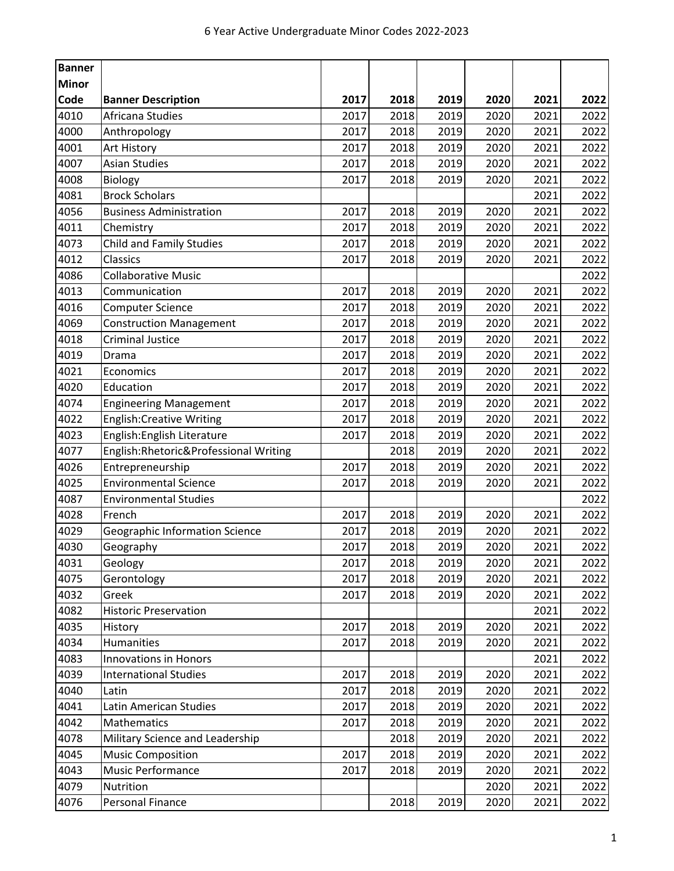| <b>Banner</b> |                                       |      |      |      |      |      |      |
|---------------|---------------------------------------|------|------|------|------|------|------|
| <b>Minor</b>  |                                       |      |      |      |      |      |      |
| Code          | <b>Banner Description</b>             | 2017 | 2018 | 2019 | 2020 | 2021 | 2022 |
| 4010          | Africana Studies                      | 2017 | 2018 | 2019 | 2020 | 2021 | 2022 |
| 4000          | Anthropology                          | 2017 | 2018 | 2019 | 2020 | 2021 | 2022 |
| 4001          | Art History                           | 2017 | 2018 | 2019 | 2020 | 2021 | 2022 |
| 4007          | <b>Asian Studies</b>                  | 2017 | 2018 | 2019 | 2020 | 2021 | 2022 |
| 4008          | Biology                               | 2017 | 2018 | 2019 | 2020 | 2021 | 2022 |
| 4081          | <b>Brock Scholars</b>                 |      |      |      |      | 2021 | 2022 |
| 4056          | <b>Business Administration</b>        | 2017 | 2018 | 2019 | 2020 | 2021 | 2022 |
| 4011          | Chemistry                             | 2017 | 2018 | 2019 | 2020 | 2021 | 2022 |
| 4073          | <b>Child and Family Studies</b>       | 2017 | 2018 | 2019 | 2020 | 2021 | 2022 |
| 4012          | <b>Classics</b>                       | 2017 | 2018 | 2019 | 2020 | 2021 | 2022 |
| 4086          | <b>Collaborative Music</b>            |      |      |      |      |      | 2022 |
| 4013          | Communication                         | 2017 | 2018 | 2019 | 2020 | 2021 | 2022 |
| 4016          | <b>Computer Science</b>               | 2017 | 2018 | 2019 | 2020 | 2021 | 2022 |
| 4069          | <b>Construction Management</b>        | 2017 | 2018 | 2019 | 2020 | 2021 | 2022 |
| 4018          | <b>Criminal Justice</b>               | 2017 | 2018 | 2019 | 2020 | 2021 | 2022 |
| 4019          | Drama                                 | 2017 | 2018 | 2019 | 2020 | 2021 | 2022 |
| 4021          | Economics                             | 2017 | 2018 | 2019 | 2020 | 2021 | 2022 |
| 4020          | Education                             | 2017 | 2018 | 2019 | 2020 | 2021 | 2022 |
| 4074          | <b>Engineering Management</b>         | 2017 | 2018 | 2019 | 2020 | 2021 | 2022 |
| 4022          | <b>English:Creative Writing</b>       | 2017 | 2018 | 2019 | 2020 | 2021 | 2022 |
| 4023          | English: English Literature           | 2017 | 2018 | 2019 | 2020 | 2021 | 2022 |
| 4077          | English:Rhetoric&Professional Writing |      | 2018 | 2019 | 2020 | 2021 | 2022 |
| 4026          | Entrepreneurship                      | 2017 | 2018 | 2019 | 2020 | 2021 | 2022 |
| 4025          | <b>Environmental Science</b>          | 2017 | 2018 | 2019 | 2020 | 2021 | 2022 |
| 4087          | <b>Environmental Studies</b>          |      |      |      |      |      | 2022 |
| 4028          | French                                | 2017 | 2018 | 2019 | 2020 | 2021 | 2022 |
| 4029          | <b>Geographic Information Science</b> | 2017 | 2018 | 2019 | 2020 | 2021 | 2022 |
| 4030          | Geography                             | 2017 | 2018 | 2019 | 2020 | 2021 | 2022 |
| 4031          | Geology                               | 2017 | 2018 | 2019 | 2020 | 2021 | 2022 |
| 4075          | Gerontology                           | 2017 | 2018 | 2019 | 2020 | 2021 | 2022 |
| 4032          | Greek                                 | 2017 | 2018 | 2019 | 2020 | 2021 | 2022 |
| 4082          | <b>Historic Preservation</b>          |      |      |      |      | 2021 | 2022 |
| 4035          | History                               | 2017 | 2018 | 2019 | 2020 | 2021 | 2022 |
| 4034          | Humanities                            | 2017 | 2018 | 2019 | 2020 | 2021 | 2022 |
| 4083          | <b>Innovations in Honors</b>          |      |      |      |      | 2021 | 2022 |
| 4039          | <b>International Studies</b>          | 2017 | 2018 | 2019 | 2020 | 2021 | 2022 |
| 4040          | Latin                                 | 2017 | 2018 | 2019 | 2020 | 2021 | 2022 |
| 4041          | Latin American Studies                | 2017 | 2018 | 2019 | 2020 | 2021 | 2022 |
| 4042          | Mathematics                           | 2017 | 2018 | 2019 | 2020 | 2021 | 2022 |
| 4078          | Military Science and Leadership       |      | 2018 | 2019 | 2020 | 2021 | 2022 |
| 4045          | <b>Music Composition</b>              | 2017 | 2018 | 2019 | 2020 | 2021 | 2022 |
| 4043          | Music Performance                     | 2017 | 2018 | 2019 | 2020 | 2021 | 2022 |
| 4079          | Nutrition                             |      |      |      | 2020 | 2021 | 2022 |
| 4076          | Personal Finance                      |      | 2018 | 2019 | 2020 | 2021 | 2022 |